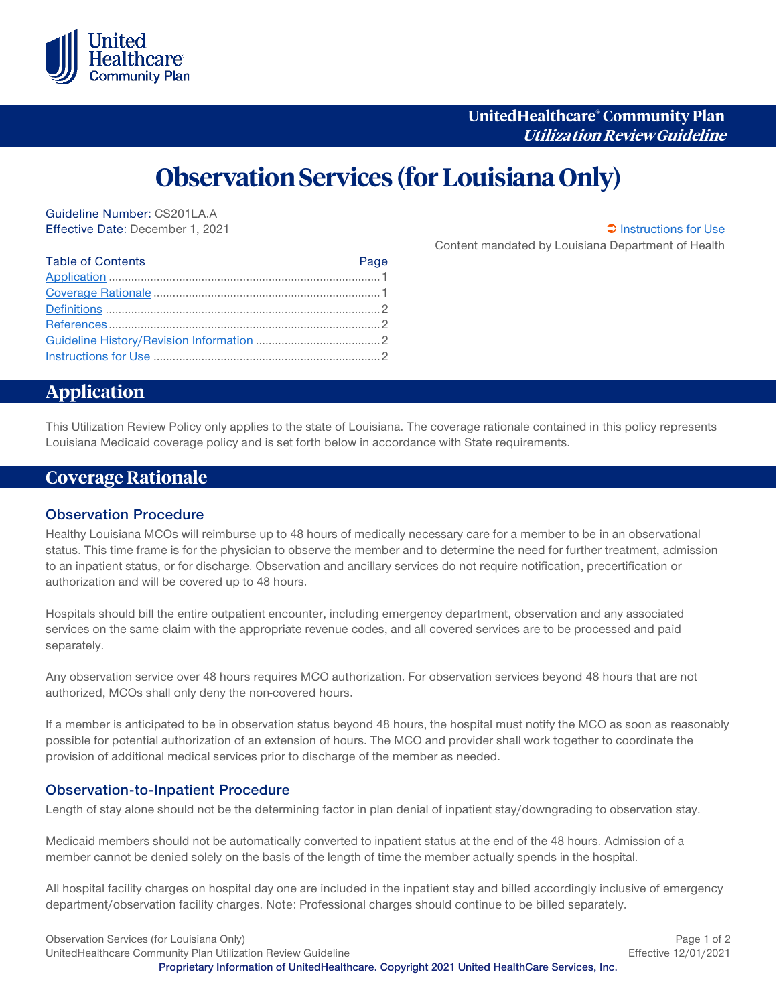

## **UnitedHealthcare® Community Plan Utiliza tion Review Guideline**

# **Observation Services (for Louisiana Only)**

Guideline Number: CS201LA.A Effective Date: December 1, 2021 [Instructions for Use](#page-1-0)

Content mandated by Louisiana Department of Health

| <b>Table of Contents</b> | Page |
|--------------------------|------|
|                          |      |
|                          |      |
|                          |      |
|                          |      |
|                          |      |
|                          |      |

# <span id="page-0-0"></span>**Application**

This Utilization Review Policy only applies to the state of Louisiana. The coverage rationale contained in this policy represents Louisiana Medicaid coverage policy and is set forth below in accordance with State requirements.

## <span id="page-0-1"></span>**Coverage Rationale**

#### **Observation Procedure**

Healthy Louisiana MCOs will reimburse up to 48 hours of medically necessary care for a member to be in an observational status. This time frame is for the physician to observe the member and to determine the need for further treatment, admission to an inpatient status, or for discharge. Observation and ancillary services do not require notification, precertification or authorization and will be covered up to 48 hours.

Hospitals should bill the entire outpatient encounter, including emergency department, observation and any associated services on the same claim with the appropriate revenue codes, and all covered services are to be processed and paid separately.

Any observation service over 48 hours requires MCO authorization. For observation services beyond 48 hours that are not authorized, MCOs shall only deny the non-covered hours.

If a member is anticipated to be in observation status beyond 48 hours, the hospital must notify the MCO as soon as reasonably possible for potential authorization of an extension of hours. The MCO and provider shall work together to coordinate the provision of additional medical services prior to discharge of the member as needed.

#### **Observation-to-Inpatient Procedure**

Length of stay alone should not be the determining factor in plan denial of inpatient stay/downgrading to observation stay.

Medicaid members should not be automatically converted to inpatient status at the end of the 48 hours. Admission of a member cannot be denied solely on the basis of the length of time the member actually spends in the hospital.

All hospital facility charges on hospital day one are included in the inpatient stay and billed accordingly inclusive of emergency department/observation facility charges. Note: Professional charges should continue to be billed separately.